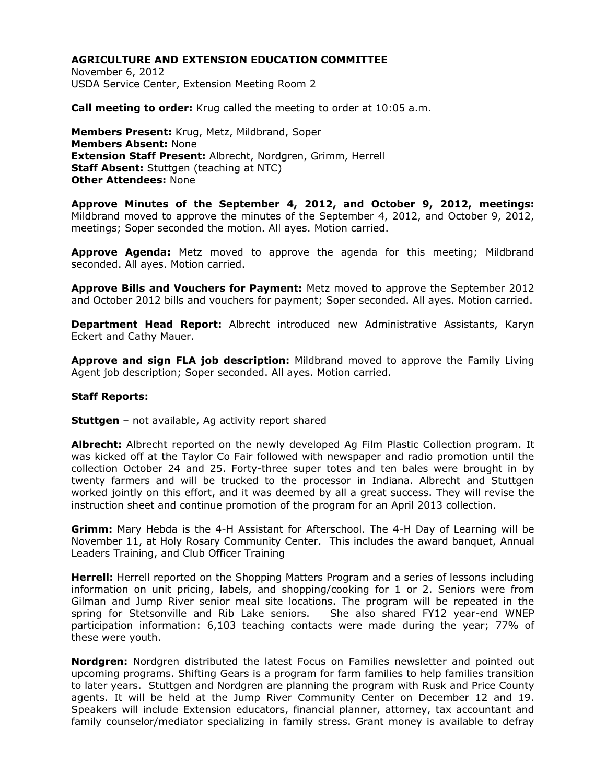November 6, 2012 USDA Service Center, Extension Meeting Room 2

**Call meeting to order:** Krug called the meeting to order at 10:05 a.m.

**Members Present:** Krug, Metz, Mildbrand, Soper **Members Absent:** None **Extension Staff Present:** Albrecht, Nordgren, Grimm, Herrell **Staff Absent:** Stuttgen (teaching at NTC) **Other Attendees:** None

**Approve Minutes of the September 4, 2012, and October 9, 2012, meetings:** Mildbrand moved to approve the minutes of the September 4, 2012, and October 9, 2012, meetings; Soper seconded the motion. All ayes. Motion carried.

**Approve Agenda:** Metz moved to approve the agenda for this meeting; Mildbrand seconded. All ayes. Motion carried.

**Approve Bills and Vouchers for Payment:** Metz moved to approve the September 2012 and October 2012 bills and vouchers for payment; Soper seconded. All ayes. Motion carried.

**Department Head Report:** Albrecht introduced new Administrative Assistants, Karyn Eckert and Cathy Mauer.

**Approve and sign FLA job description:** Mildbrand moved to approve the Family Living Agent job description; Soper seconded. All ayes. Motion carried.

## **Staff Reports:**

**Stuttgen** – not available, Ag activity report shared

**Albrecht:** Albrecht reported on the newly developed Ag Film Plastic Collection program. It was kicked off at the Taylor Co Fair followed with newspaper and radio promotion until the collection October 24 and 25. Forty-three super totes and ten bales were brought in by twenty farmers and will be trucked to the processor in Indiana. Albrecht and Stuttgen worked jointly on this effort, and it was deemed by all a great success. They will revise the instruction sheet and continue promotion of the program for an April 2013 collection.

**Grimm:** Mary Hebda is the 4-H Assistant for Afterschool. The 4-H Day of Learning will be November 11, at Holy Rosary Community Center. This includes the award banquet, Annual Leaders Training, and Club Officer Training

**Herrell:** Herrell reported on the Shopping Matters Program and a series of lessons including information on unit pricing, labels, and shopping/cooking for 1 or 2. Seniors were from Gilman and Jump River senior meal site locations. The program will be repeated in the spring for Stetsonville and Rib Lake seniors. She also shared FY12 year-end WNEP participation information: 6,103 teaching contacts were made during the year; 77% of these were youth.

**Nordgren:** Nordgren distributed the latest Focus on Families newsletter and pointed out upcoming programs. Shifting Gears is a program for farm families to help families transition to later years. Stuttgen and Nordgren are planning the program with Rusk and Price County agents. It will be held at the Jump River Community Center on December 12 and 19. Speakers will include Extension educators, financial planner, attorney, tax accountant and family counselor/mediator specializing in family stress. Grant money is available to defray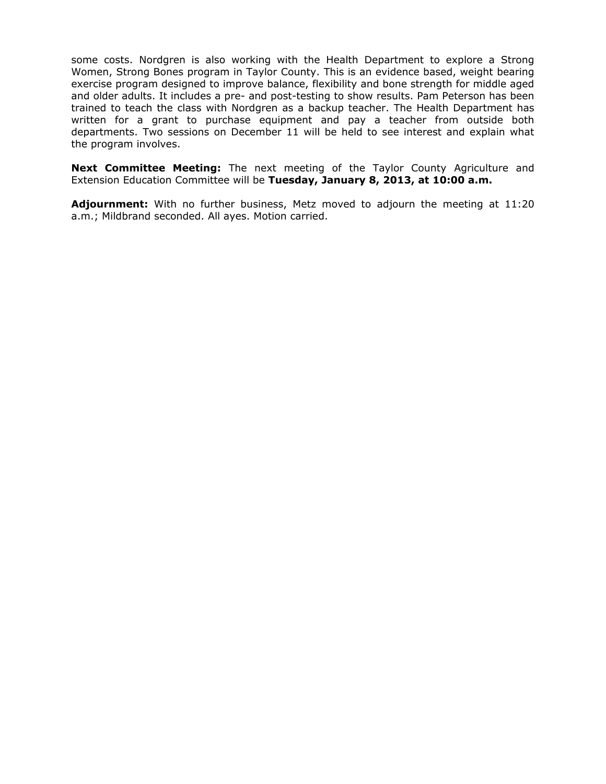some costs. Nordgren is also working with the Health Department to explore a Strong Women, Strong Bones program in Taylor County. This is an evidence based, weight bearing exercise program designed to improve balance, flexibility and bone strength for middle aged and older adults. It includes a pre- and post-testing to show results. Pam Peterson has been trained to teach the class with Nordgren as a backup teacher. The Health Department has written for a grant to purchase equipment and pay a teacher from outside both departments. Two sessions on December 11 will be held to see interest and explain what the program involves.

**Next Committee Meeting:** The next meeting of the Taylor County Agriculture and Extension Education Committee will be **Tuesday, January 8, 2013, at 10:00 a.m.**

**Adjournment:** With no further business, Metz moved to adjourn the meeting at 11:20 a.m.; Mildbrand seconded. All ayes. Motion carried.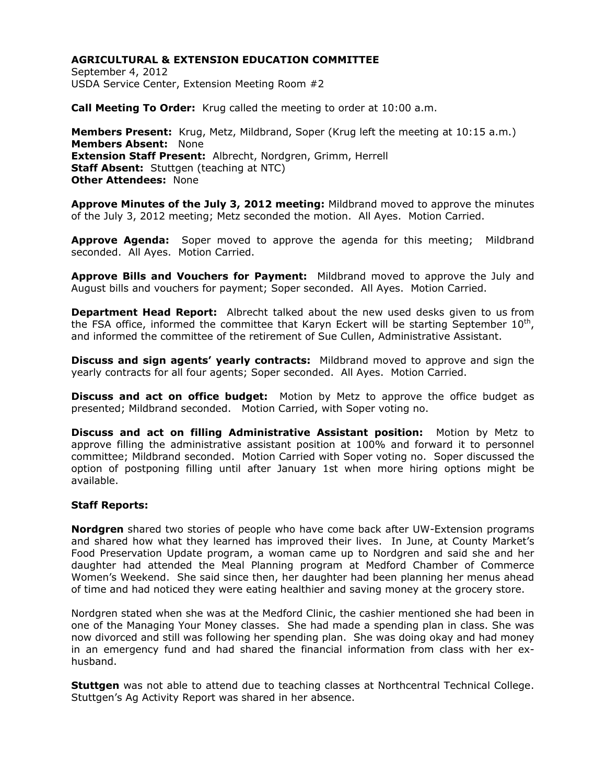September 4, 2012 USDA Service Center, Extension Meeting Room #2

**Call Meeting To Order:** Krug called the meeting to order at 10:00 a.m.

**Members Present:** Krug, Metz, Mildbrand, Soper (Krug left the meeting at 10:15 a.m.) **Members Absent:** None **Extension Staff Present:** Albrecht, Nordgren, Grimm, Herrell **Staff Absent:** Stuttgen (teaching at NTC) **Other Attendees:** None

**Approve Minutes of the July 3, 2012 meeting:** Mildbrand moved to approve the minutes of the July 3, 2012 meeting; Metz seconded the motion. All Ayes. Motion Carried.

**Approve Agenda:** Soper moved to approve the agenda for this meeting; Mildbrand seconded. All Ayes. Motion Carried.

**Approve Bills and Vouchers for Payment:** Mildbrand moved to approve the July and August bills and vouchers for payment; Soper seconded. All Ayes. Motion Carried.

**Department Head Report:** Albrecht talked about the new used desks given to us from the FSA office, informed the committee that Karyn Eckert will be starting September  $10^{\text{th}}$ , and informed the committee of the retirement of Sue Cullen, Administrative Assistant.

**Discuss and sign agents' yearly contracts:** Mildbrand moved to approve and sign the yearly contracts for all four agents; Soper seconded. All Ayes. Motion Carried.

**Discuss and act on office budget:** Motion by Metz to approve the office budget as presented; Mildbrand seconded. Motion Carried, with Soper voting no.

**Discuss and act on filling Administrative Assistant position:** Motion by Metz to approve filling the administrative assistant position at 100% and forward it to personnel committee; Mildbrand seconded. Motion Carried with Soper voting no. Soper discussed the option of postponing filling until after January 1st when more hiring options might be available.

## **Staff Reports:**

**Nordgren** shared two stories of people who have come back after UW-Extension programs and shared how what they learned has improved their lives. In June, at County Market's Food Preservation Update program, a woman came up to Nordgren and said she and her daughter had attended the Meal Planning program at Medford Chamber of Commerce Women's Weekend. She said since then, her daughter had been planning her menus ahead of time and had noticed they were eating healthier and saving money at the grocery store.

Nordgren stated when she was at the Medford Clinic, the cashier mentioned she had been in one of the Managing Your Money classes. She had made a spending plan in class. She was now divorced and still was following her spending plan. She was doing okay and had money in an emergency fund and had shared the financial information from class with her exhusband.

**Stuttgen** was not able to attend due to teaching classes at Northcentral Technical College. Stuttgen's Ag Activity Report was shared in her absence.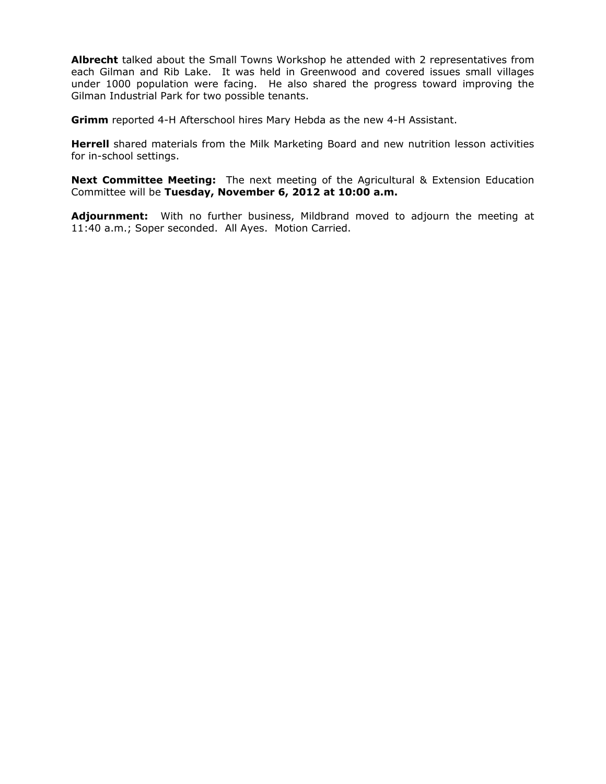**Albrecht** talked about the Small Towns Workshop he attended with 2 representatives from each Gilman and Rib Lake. It was held in Greenwood and covered issues small villages under 1000 population were facing. He also shared the progress toward improving the Gilman Industrial Park for two possible tenants.

**Grimm** reported 4-H Afterschool hires Mary Hebda as the new 4-H Assistant.

**Herrell** shared materials from the Milk Marketing Board and new nutrition lesson activities for in-school settings.

**Next Committee Meeting:** The next meeting of the Agricultural & Extension Education Committee will be **Tuesday, November 6, 2012 at 10:00 a.m.** 

**Adjournment:** With no further business, Mildbrand moved to adjourn the meeting at 11:40 a.m.; Soper seconded. All Ayes. Motion Carried.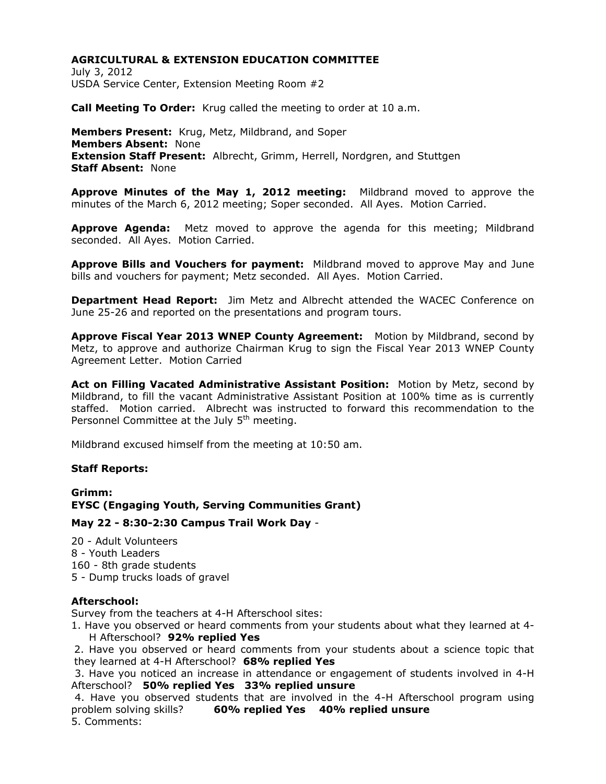July 3, 2012 USDA Service Center, Extension Meeting Room #2

**Call Meeting To Order:** Krug called the meeting to order at 10 a.m.

**Members Present:** Krug, Metz, Mildbrand, and Soper **Members Absent:** None **Extension Staff Present:** Albrecht, Grimm, Herrell, Nordgren, and Stuttgen **Staff Absent:** None

**Approve Minutes of the May 1, 2012 meeting:** Mildbrand moved to approve the minutes of the March 6, 2012 meeting; Soper seconded. All Ayes. Motion Carried.

**Approve Agenda:** Metz moved to approve the agenda for this meeting; Mildbrand seconded. All Ayes. Motion Carried.

**Approve Bills and Vouchers for payment:** Mildbrand moved to approve May and June bills and vouchers for payment; Metz seconded. All Ayes. Motion Carried.

**Department Head Report:** Jim Metz and Albrecht attended the WACEC Conference on June 25-26 and reported on the presentations and program tours.

**Approve Fiscal Year 2013 WNEP County Agreement:** Motion by Mildbrand, second by Metz, to approve and authorize Chairman Krug to sign the Fiscal Year 2013 WNEP County Agreement Letter. Motion Carried

**Act on Filling Vacated Administrative Assistant Position:** Motion by Metz, second by Mildbrand, to fill the vacant Administrative Assistant Position at 100% time as is currently staffed. Motion carried. Albrecht was instructed to forward this recommendation to the Personnel Committee at the July  $5<sup>th</sup>$  meeting.

Mildbrand excused himself from the meeting at 10:50 am.

## **Staff Reports:**

**Grimm: EYSC (Engaging Youth, Serving Communities Grant)**

**May 22 - 8:30-2:30 Campus Trail Work Day** -

20 - Adult Volunteers 8 - Youth Leaders 160 - 8th grade students 5 - Dump trucks loads of gravel

## **Afterschool:**

Survey from the teachers at 4-H Afterschool sites:

1. Have you observed or heard comments from your students about what they learned at 4- H Afterschool? **92% replied Yes**

2. Have you observed or heard comments from your students about a science topic that they learned at 4-H Afterschool? **68% replied Yes**

3. Have you noticed an increase in attendance or engagement of students involved in 4-H Afterschool? **50% replied Yes 33% replied unsure**

4. Have you observed students that are involved in the 4-H Afterschool program using problem solving skills? **60% replied Yes 40% replied unsure** 5. Comments: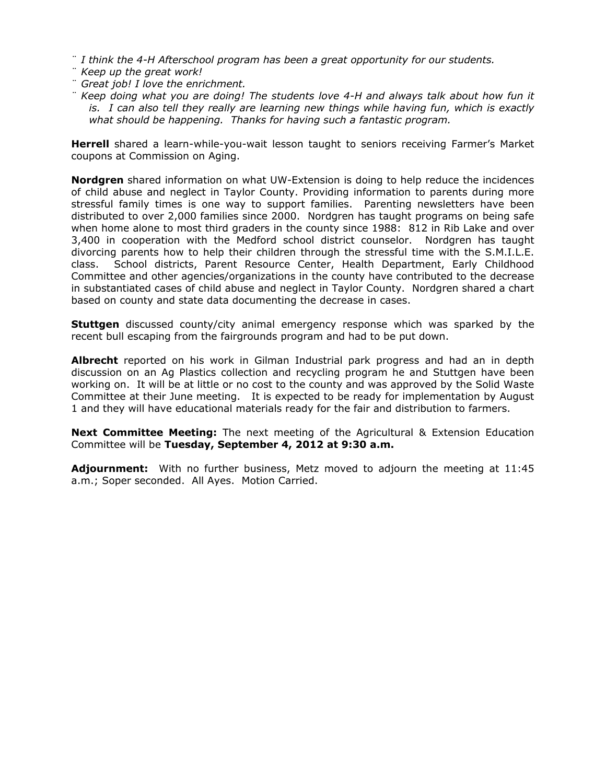- ¨ *I think the 4-H Afterschool program has been a great opportunity for our students.*
- ¨ *Keep up the great work!*
- ¨ *Great job! I love the enrichment.*
- ¨ *Keep doing what you are doing! The students love 4-H and always talk about how fun it is. I can also tell they really are learning new things while having fun, which is exactly what should be happening. Thanks for having such a fantastic program.*

**Herrell** shared a learn-while-you-wait lesson taught to seniors receiving Farmer's Market coupons at Commission on Aging.

**Nordgren** shared information on what UW-Extension is doing to help reduce the incidences of child abuse and neglect in Taylor County. Providing information to parents during more stressful family times is one way to support families. Parenting newsletters have been distributed to over 2,000 families since 2000. Nordgren has taught programs on being safe when home alone to most third graders in the county since 1988: 812 in Rib Lake and over 3,400 in cooperation with the Medford school district counselor. Nordgren has taught divorcing parents how to help their children through the stressful time with the S.M.I.L.E. class. School districts, Parent Resource Center, Health Department, Early Childhood Committee and other agencies/organizations in the county have contributed to the decrease in substantiated cases of child abuse and neglect in Taylor County. Nordgren shared a chart based on county and state data documenting the decrease in cases.

**Stuttgen** discussed county/city animal emergency response which was sparked by the recent bull escaping from the fairgrounds program and had to be put down.

**Albrecht** reported on his work in Gilman Industrial park progress and had an in depth discussion on an Ag Plastics collection and recycling program he and Stuttgen have been working on. It will be at little or no cost to the county and was approved by the Solid Waste Committee at their June meeting. It is expected to be ready for implementation by August 1 and they will have educational materials ready for the fair and distribution to farmers.

**Next Committee Meeting:** The next meeting of the Agricultural & Extension Education Committee will be **Tuesday, September 4, 2012 at 9:30 a.m.**

**Adjournment:** With no further business, Metz moved to adjourn the meeting at 11:45 a.m.; Soper seconded. All Ayes. Motion Carried.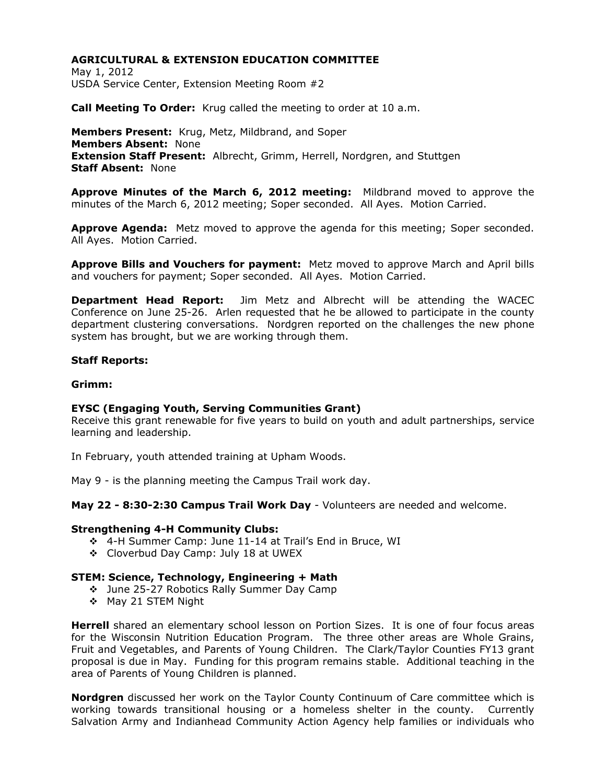May 1, 2012 USDA Service Center, Extension Meeting Room #2

**Call Meeting To Order:** Krug called the meeting to order at 10 a.m.

**Members Present:** Krug, Metz, Mildbrand, and Soper **Members Absent:** None **Extension Staff Present:** Albrecht, Grimm, Herrell, Nordgren, and Stuttgen **Staff Absent:** None

**Approve Minutes of the March 6, 2012 meeting:** Mildbrand moved to approve the minutes of the March 6, 2012 meeting; Soper seconded. All Ayes. Motion Carried.

**Approve Agenda:** Metz moved to approve the agenda for this meeting; Soper seconded. All Ayes. Motion Carried.

**Approve Bills and Vouchers for payment:** Metz moved to approve March and April bills and vouchers for payment; Soper seconded. All Ayes. Motion Carried.

**Department Head Report:** Jim Metz and Albrecht will be attending the WACEC Conference on June 25-26. Arlen requested that he be allowed to participate in the county department clustering conversations. Nordgren reported on the challenges the new phone system has brought, but we are working through them.

#### **Staff Reports:**

#### **Grimm:**

## **EYSC (Engaging Youth, Serving Communities Grant)**

Receive this grant renewable for five years to build on youth and adult partnerships, service learning and leadership.

In February, youth attended training at Upham Woods.

May 9 - is the planning meeting the Campus Trail work day.

**May 22 - 8:30-2:30 Campus Trail Work Day** - Volunteers are needed and welcome.

#### **Strengthening 4-H Community Clubs:**

- 4-H Summer Camp: June 11-14 at Trail's End in Bruce, WI
- Cloverbud Day Camp: July 18 at UWEX

## **STEM: Science, Technology, Engineering + Math**

- June 25-27 Robotics Rally Summer Day Camp
- ❖ May 21 STEM Night

**Herrell** shared an elementary school lesson on Portion Sizes. It is one of four focus areas for the Wisconsin Nutrition Education Program. The three other areas are Whole Grains, Fruit and Vegetables, and Parents of Young Children. The Clark/Taylor Counties FY13 grant proposal is due in May. Funding for this program remains stable. Additional teaching in the area of Parents of Young Children is planned.

**Nordgren** discussed her work on the Taylor County Continuum of Care committee which is working towards transitional housing or a homeless shelter in the county. Currently Salvation Army and Indianhead Community Action Agency help families or individuals who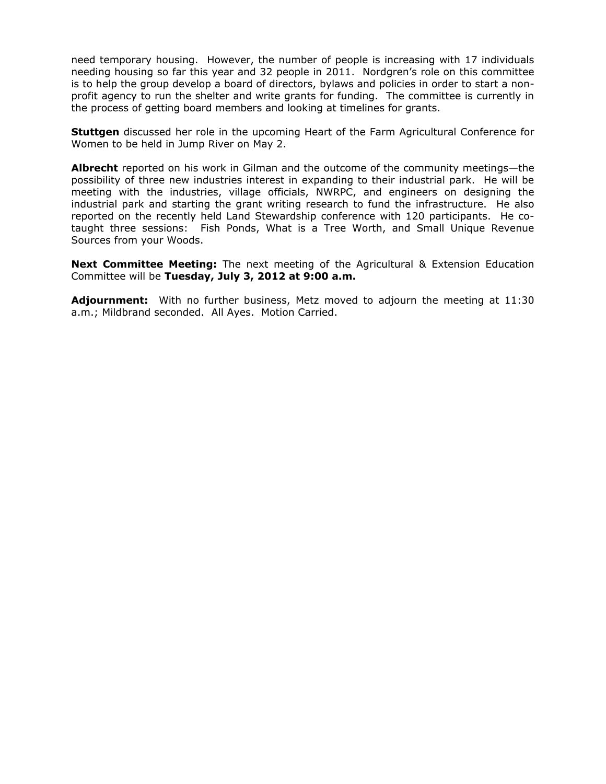need temporary housing. However, the number of people is increasing with 17 individuals needing housing so far this year and 32 people in 2011. Nordgren's role on this committee is to help the group develop a board of directors, bylaws and policies in order to start a nonprofit agency to run the shelter and write grants for funding. The committee is currently in the process of getting board members and looking at timelines for grants.

**Stuttgen** discussed her role in the upcoming Heart of the Farm Agricultural Conference for Women to be held in Jump River on May 2.

**Albrecht** reported on his work in Gilman and the outcome of the community meetings—the possibility of three new industries interest in expanding to their industrial park. He will be meeting with the industries, village officials, NWRPC, and engineers on designing the industrial park and starting the grant writing research to fund the infrastructure. He also reported on the recently held Land Stewardship conference with 120 participants. He cotaught three sessions: Fish Ponds, What is a Tree Worth, and Small Unique Revenue Sources from your Woods.

**Next Committee Meeting:** The next meeting of the Agricultural & Extension Education Committee will be **Tuesday, July 3, 2012 at 9:00 a.m.**

**Adjournment:** With no further business, Metz moved to adjourn the meeting at 11:30 a.m.; Mildbrand seconded. All Ayes. Motion Carried.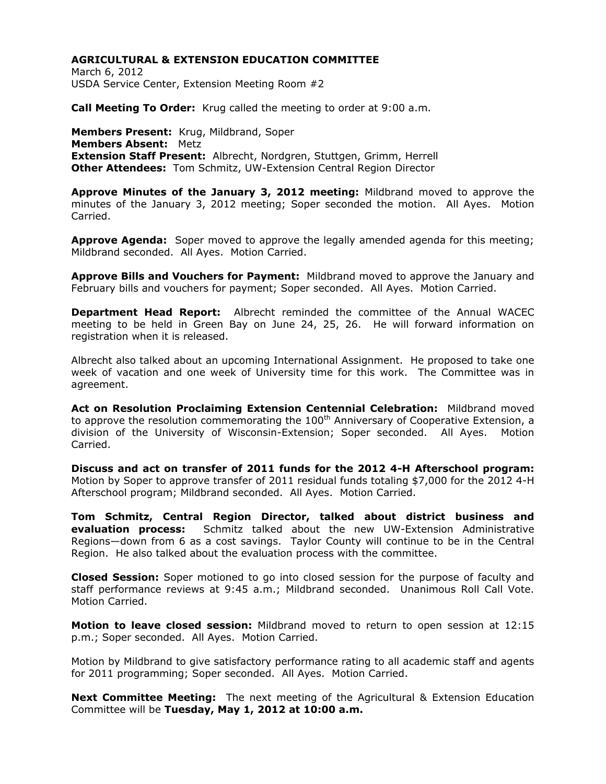March 6, 2012 USDA Service Center, Extension Meeting Room #2

**Call Meeting To Order:** Krug called the meeting to order at 9:00 a.m.

**Members Present:** Krug, Mildbrand, Soper **Members Absent:** Metz **Extension Staff Present:** Albrecht, Nordgren, Stuttgen, Grimm, Herrell **Other Attendees:** Tom Schmitz, UW-Extension Central Region Director

**Approve Minutes of the January 3, 2012 meeting:** Mildbrand moved to approve the minutes of the January 3, 2012 meeting; Soper seconded the motion. All Ayes. Motion Carried.

**Approve Agenda:** Soper moved to approve the legally amended agenda for this meeting; Mildbrand seconded. All Ayes. Motion Carried.

**Approve Bills and Vouchers for Payment:** Mildbrand moved to approve the January and February bills and vouchers for payment; Soper seconded. All Ayes. Motion Carried.

**Department Head Report:** Albrecht reminded the committee of the Annual WACEC meeting to be held in Green Bay on June 24, 25, 26. He will forward information on registration when it is released.

Albrecht also talked about an upcoming International Assignment. He proposed to take one week of vacation and one week of University time for this work. The Committee was in agreement.

**Act on Resolution Proclaiming Extension Centennial Celebration:** Mildbrand moved to approve the resolution commemorating the  $100<sup>th</sup>$  Anniversary of Cooperative Extension, a division of the University of Wisconsin-Extension; Soper seconded. All Ayes. Motion Carried.

**Discuss and act on transfer of 2011 funds for the 2012 4-H Afterschool program:**  Motion by Soper to approve transfer of 2011 residual funds totaling \$7,000 for the 2012 4-H Afterschool program; Mildbrand seconded. All Ayes. Motion Carried.

**Tom Schmitz, Central Region Director, talked about district business and evaluation process:** Schmitz talked about the new UW-Extension Administrative Regions—down from 6 as a cost savings. Taylor County will continue to be in the Central Region. He also talked about the evaluation process with the committee.

**Closed Session:** Soper motioned to go into closed session for the purpose of faculty and staff performance reviews at 9:45 a.m.; Mildbrand seconded. Unanimous Roll Call Vote. Motion Carried.

**Motion to leave closed session:** Mildbrand moved to return to open session at 12:15 p.m.; Soper seconded. All Ayes. Motion Carried.

Motion by Mildbrand to give satisfactory performance rating to all academic staff and agents for 2011 programming; Soper seconded. All Ayes. Motion Carried.

**Next Committee Meeting:** The next meeting of the Agricultural & Extension Education Committee will be **Tuesday, May 1, 2012 at 10:00 a.m.**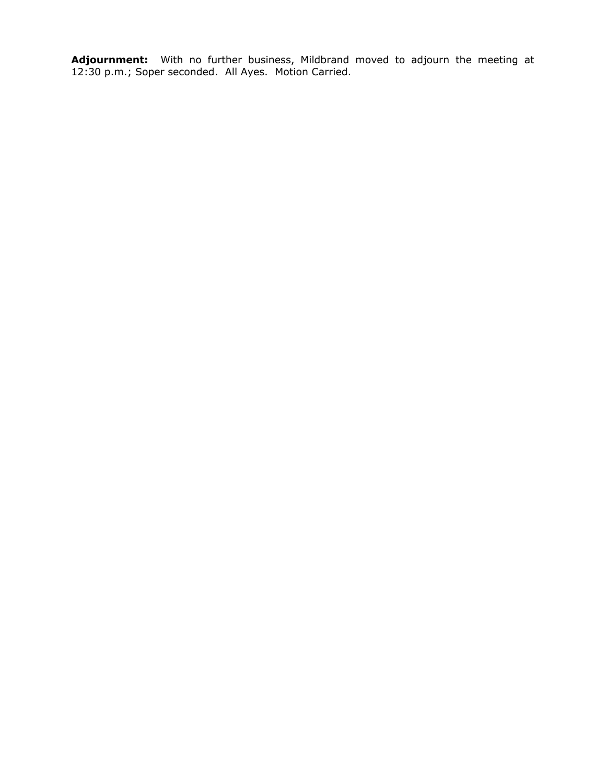**Adjournment:** With no further business, Mildbrand moved to adjourn the meeting at 12:30 p.m.; Soper seconded. All Ayes. Motion Carried.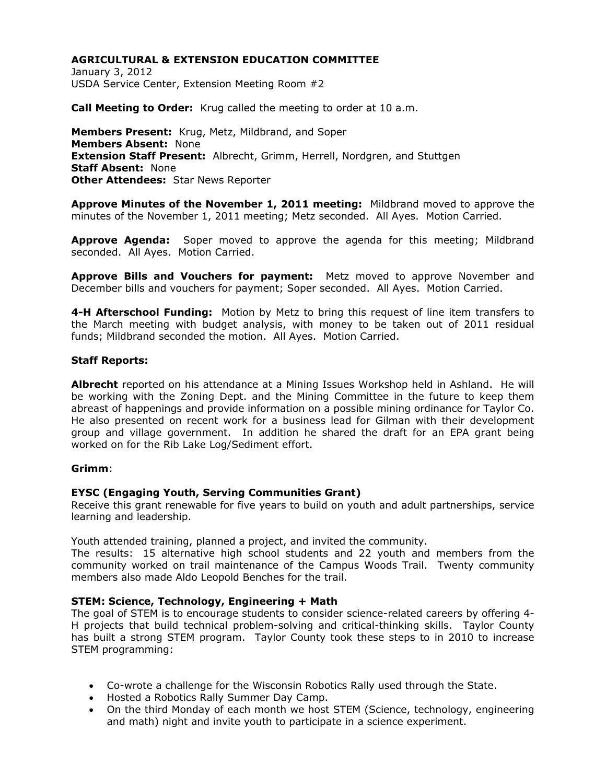January 3, 2012 USDA Service Center, Extension Meeting Room #2

**Call Meeting to Order:** Krug called the meeting to order at 10 a.m.

**Members Present:** Krug, Metz, Mildbrand, and Soper **Members Absent:** None **Extension Staff Present:** Albrecht, Grimm, Herrell, Nordgren, and Stuttgen **Staff Absent:** None **Other Attendees:** Star News Reporter

**Approve Minutes of the November 1, 2011 meeting:** Mildbrand moved to approve the minutes of the November 1, 2011 meeting; Metz seconded. All Ayes. Motion Carried.

**Approve Agenda:** Soper moved to approve the agenda for this meeting; Mildbrand seconded. All Ayes. Motion Carried.

**Approve Bills and Vouchers for payment:** Metz moved to approve November and December bills and vouchers for payment; Soper seconded. All Ayes. Motion Carried.

**4-H Afterschool Funding:** Motion by Metz to bring this request of line item transfers to the March meeting with budget analysis, with money to be taken out of 2011 residual funds; Mildbrand seconded the motion. All Ayes. Motion Carried.

#### **Staff Reports:**

**Albrecht** reported on his attendance at a Mining Issues Workshop held in Ashland. He will be working with the Zoning Dept. and the Mining Committee in the future to keep them abreast of happenings and provide information on a possible mining ordinance for Taylor Co. He also presented on recent work for a business lead for Gilman with their development group and village government. In addition he shared the draft for an EPA grant being worked on for the Rib Lake Log/Sediment effort.

#### **Grimm**:

## **EYSC (Engaging Youth, Serving Communities Grant)**

Receive this grant renewable for five years to build on youth and adult partnerships, service learning and leadership.

Youth attended training, planned a project, and invited the community.

The results: 15 alternative high school students and 22 youth and members from the community worked on trail maintenance of the Campus Woods Trail. Twenty community members also made Aldo Leopold Benches for the trail.

## **STEM: Science, Technology, Engineering + Math**

The goal of STEM is to encourage students to consider science-related careers by offering 4- H projects that build technical problem-solving and critical-thinking skills. Taylor County has built a strong STEM program. Taylor County took these steps to in 2010 to increase STEM programming:

- Co-wrote a challenge for the Wisconsin Robotics Rally used through the State.
- Hosted a Robotics Rally Summer Day Camp.
- On the third Monday of each month we host STEM (Science, technology, engineering and math) night and invite youth to participate in a science experiment.